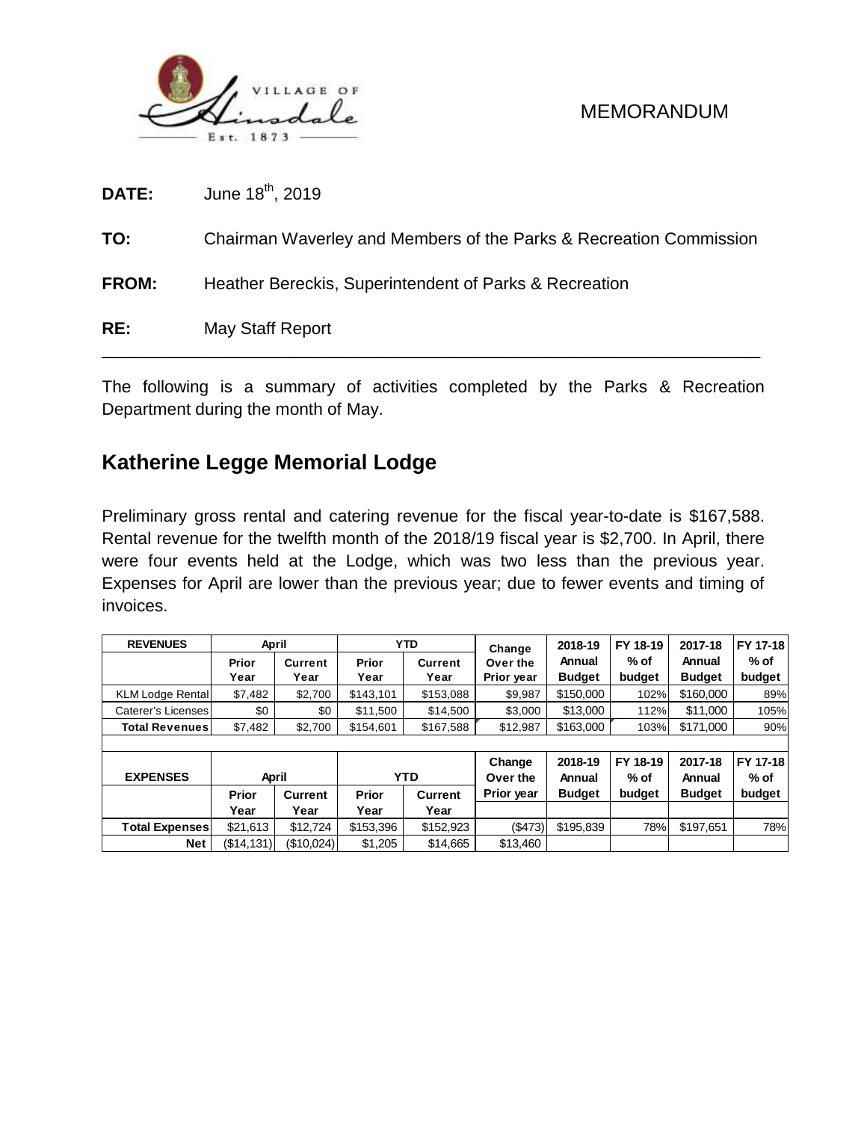

| RE:          | May Staff Report                                                   |
|--------------|--------------------------------------------------------------------|
| <b>FROM:</b> | Heather Bereckis, Superintendent of Parks & Recreation             |
| TO:          | Chairman Waverley and Members of the Parks & Recreation Commission |
| <b>DATE:</b> | June 18 <sup>th</sup> , 2019                                       |

The following is a summary of activities completed by the Parks & Recreation Department during the month of May.

# **Katherine Legge Memorial Lodge**

Preliminary gross rental and catering revenue for the fiscal year-to-date is \$167,588. Rental revenue for the twelfth month of the 2018/19 fiscal year is \$2,700. In April, there were four events held at the Lodge, which was two less than the previous year. Expenses for April are lower than the previous year; due to fewer events and timing of invoices.

| <b>REVENUES</b>         | April      |                |              | <b>YTD</b>     | Change     | 2018-19       | FY 18-19 | 2017-18       | FY 17-18 |  |  |  |  |
|-------------------------|------------|----------------|--------------|----------------|------------|---------------|----------|---------------|----------|--|--|--|--|
|                         | Prior      | <b>Current</b> | Prior        | <b>Current</b> | Over the   | Annual        | $%$ of   | Annual        | % of     |  |  |  |  |
|                         | Year       | Year           | Year         | Year           | Prior year | <b>Budget</b> | budget   | <b>Budget</b> | budget   |  |  |  |  |
| <b>KLM Lodge Rental</b> | \$7,482    | \$2,700        | \$143,101    | \$153,088      | \$9,987    | \$150,000     | 102%     | \$160,000     | 89%      |  |  |  |  |
| Caterer's Licenses      | \$0        | \$0            | \$11,500     | \$14,500       | \$3,000    | \$13,000      | 112%     | \$11,000      | 105%     |  |  |  |  |
| <b>Total Revenues</b>   | \$7,482    | \$2,700        | \$154,601    | \$167,588      | \$12,987   | \$163,000     | 103%     | \$171,000     | 90%      |  |  |  |  |
|                         |            |                |              |                |            |               |          |               |          |  |  |  |  |
|                         |            |                |              |                | Change     | 2018-19       | FY 18-19 | 2017-18       | FY 17-18 |  |  |  |  |
| <b>EXPENSES</b>         | April      |                |              | YT D           | Over the   | Annual        | $%$ of   | Annual        | % of     |  |  |  |  |
|                         | Prior      | <b>Current</b> | <b>Prior</b> | Current        | Prior year | <b>Budget</b> | budget   | <b>Budget</b> | budget   |  |  |  |  |
|                         | Year       | Year           | Year         | Year           |            |               |          |               |          |  |  |  |  |
| <b>Total Expenses</b>   | \$21.613   | \$12,724       | \$153,396    | \$152,923      | $($ \$473) | \$195,839     | 78%      | \$197.651     | 78%      |  |  |  |  |
| <b>Net</b>              | (\$14,131) | (S10.024)      | \$1,205      | \$14,665       | \$13,460   |               |          |               |          |  |  |  |  |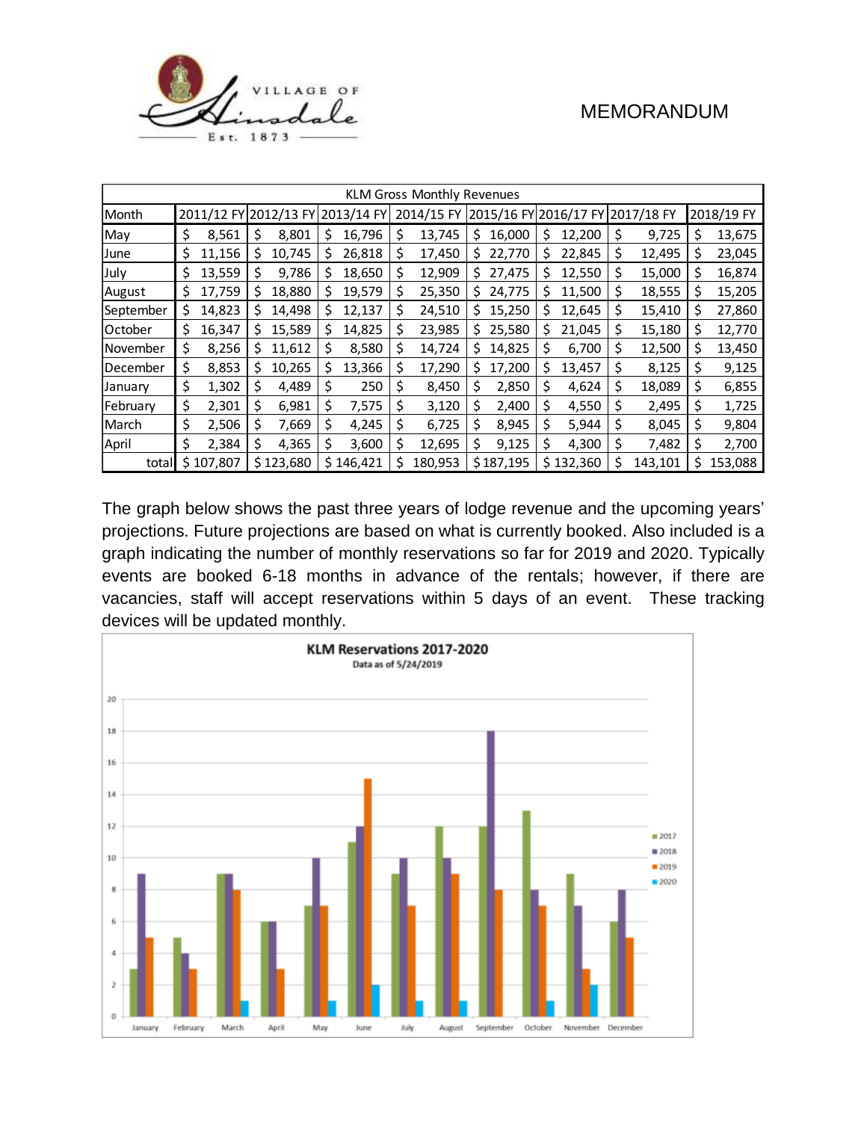

| <b>KLM Gross Monthly Revenues</b> |    |         |                                  |           |            |         |    |         |                       |           |              |         |            |         |   |         |
|-----------------------------------|----|---------|----------------------------------|-----------|------------|---------|----|---------|-----------------------|-----------|--------------|---------|------------|---------|---|---------|
| Month                             |    |         | 2011/12 FY 2012/13 FY 2013/14 FY |           | 2014/15 FY |         |    |         | 2015/16 FY 2016/17 FY |           | ' 2017/18 FY |         | 2018/19 FY |         |   |         |
| May                               | \$ | 8,561   | Ş                                | 8,801     | S          | 16,796  | Ş  | 13,745  | S                     | 16,000    | S            | 12,200  | Ş          | 9,725   | S | 13,675  |
| June                              | Ş  | 11,156  | S                                | 10,745    | S          | 26,818  | \$ | 17,450  | S                     | 22,770    | S            | 22,845  | \$         | 12,495  |   | 23,045  |
| July                              | \$ | 13,559  |                                  | 9,786     | S          | 18,650  | \$ | 12,909  | \$.                   | 27,475    | s            | 12,550  | \$         | 15,000  | s | 16,874  |
| August                            | \$ | 17,759  | S                                | 18,880    | S          | 19,579  | \$ | 25,350  | S.                    | 24,775    | S            | 11,500  | \$         | 18,555  | S | 15,205  |
| September                         | S  | 14,823  | S                                | 14,498    | S          | 12,137  | S  | 24,510  | S                     | 15,250    | S            | 12,645  | \$         | 15,410  | s | 27,860  |
| <b>October</b>                    | \$ | 16,347  | S                                | 15,589    | S          | 14,825  | \$ | 23,985  | S                     | 25,580    | S            | 21,045  | \$         | 15,180  | S | 12,770  |
| November                          | Ş  | 8,256   | S                                | 11,612    | S          | 8,580   | \$ | 14,724  | S                     | 14,825    | \$           | 6,700   | \$         | 12,500  | S | 13,450  |
| December                          | \$ | 8,853   | S                                | 10,265    | \$         | 13,366  | \$ | 17,290  | \$                    | 17,200    | S            | 13,457  | \$         | 8,125   | S | 9,125   |
| January                           | \$ | 1,302   | \$                               | 4,489     | \$         | 250     | \$ | 8,450   | \$                    | 2,850     | \$           | 4,624   | \$         | 18,089  | S | 6,855   |
| February                          | \$ | 2,301   | \$                               | 6,981     | \$         | 7,575   | \$ | 3,120   | \$                    | 2,400     | \$           | 4,550   | Ş          | 2,495   | S | 1,725   |
| March                             | \$ | 2,506   | \$                               | 7,669     | \$         | 4,245   | \$ | 6,725   | \$                    | 8,945     | \$           | 5,944   | \$         | 8,045   | S | 9,804   |
| April                             | \$ | 2,384   | S                                | 4,365     | S          | 3,600   | \$ | 12,695  | Ś.                    | 9,125     | \$           | 4,300   | \$         | 7,482   | s | 2,700   |
| total                             | Ś. | 107,807 |                                  | \$123,680 | \$.        | 146,421 | S  | 180,953 |                       | \$187,195 | \$.          | 132,360 | \$         | 143,101 | S | 153,088 |

The graph below shows the past three years of lodge revenue and the upcoming years' projections. Future projections are based on what is currently booked. Also included is a graph indicating the number of monthly reservations so far for 2019 and 2020. Typically events are booked 6-18 months in advance of the rentals; however, if there are vacancies, staff will accept reservations within 5 days of an event. These tracking devices will be updated monthly.

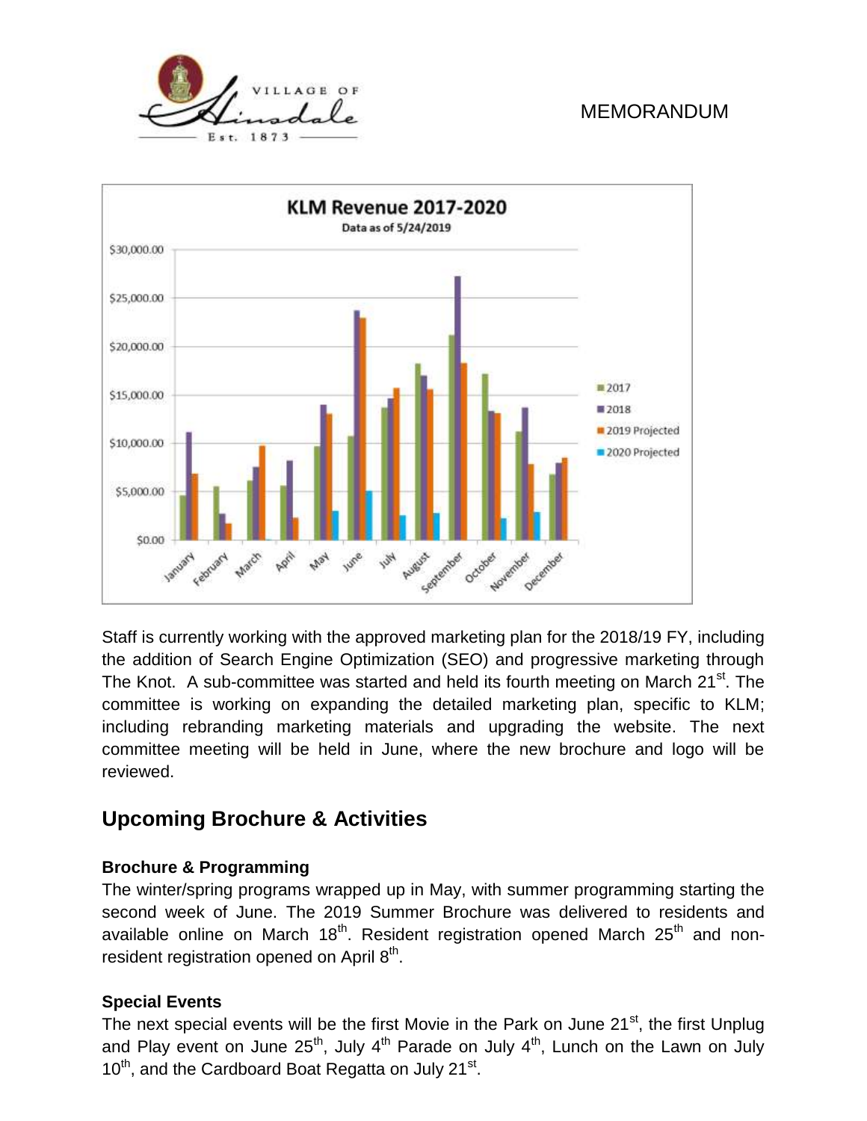



Staff is currently working with the approved marketing plan for the 2018/19 FY, including the addition of Search Engine Optimization (SEO) and progressive marketing through The Knot. A sub-committee was started and held its fourth meeting on March 21<sup>st</sup>. The committee is working on expanding the detailed marketing plan, specific to KLM; including rebranding marketing materials and upgrading the website. The next committee meeting will be held in June, where the new brochure and logo will be reviewed.

# **Upcoming Brochure & Activities**

#### **Brochure & Programming**

The winter/spring programs wrapped up in May, with summer programming starting the second week of June. The 2019 Summer Brochure was delivered to residents and available online on March  $18<sup>th</sup>$ . Resident registration opened March  $25<sup>th</sup>$  and nonresident registration opened on April 8<sup>th</sup>.

#### **Special Events**

The next special events will be the first Movie in the Park on June 21<sup>st</sup>, the first Unplug and Play event on June  $25<sup>th</sup>$ , July 4<sup>th</sup> Parade on July 4<sup>th</sup>, Lunch on the Lawn on July  $10^{th}$ , and the Cardboard Boat Regatta on July 21 $^{st}$ .